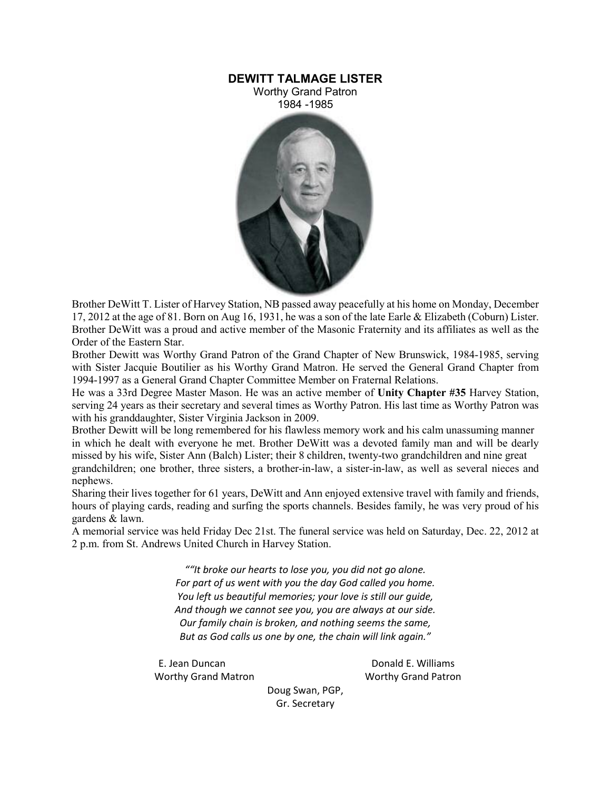## **DEWITT TALMAGE LISTER**

Worthy Grand Patron 1984 -1985



Brother DeWitt T. Lister of Harvey Station, NB passed away peacefully at his home on Monday, December 17, 2012 at the age of 81. Born on Aug 16, 1931, he was a son of the late Earle & Elizabeth (Coburn) Lister. Brother DeWitt was a proud and active member of the Masonic Fraternity and its affiliates as well as the Order of the Eastern Star.

Brother Dewitt was Worthy Grand Patron of the Grand Chapter of New Brunswick, 1984-1985, serving with Sister Jacquie Boutilier as his Worthy Grand Matron. He served the General Grand Chapter from 1994-1997 as a General Grand Chapter Committee Member on Fraternal Relations.

He was a 33rd Degree Master Mason. He was an active member of **Unity Chapter #35** Harvey Station, serving 24 years as their secretary and several times as Worthy Patron. His last time as Worthy Patron was with his granddaughter, Sister Virginia Jackson in 2009.

Brother Dewitt will be long remembered for his flawless memory work and his calm unassuming manner in which he dealt with everyone he met. Brother DeWitt was a devoted family man and will be dearly missed by his wife, Sister Ann (Balch) Lister; their 8 children, twenty-two grandchildren and nine great grandchildren; one brother, three sisters, a brother-in-law, a sister-in-law, as well as several nieces and nephews.

Sharing their lives together for 61 years, DeWitt and Ann enjoyed extensive travel with family and friends, hours of playing cards, reading and surfing the sports channels. Besides family, he was very proud of his gardens & lawn.

A memorial service was held Friday Dec 21st. The funeral service was held on Saturday, Dec. 22, 2012 at 2 p.m. from St. Andrews United Church in Harvey Station.

> *""It broke our hearts to lose you, you did not go alone. For part of us went with you the day God called you home. You left us beautiful memories; your love is still our guide, And though we cannot see you, you are always at our side. Our family chain is broken, and nothing seems the same, But as God calls us one by one, the chain will link again."*

E. Jean Duncan **Donald E. Williams** Worthy Grand Matron Worthy Grand Patron

Doug Swan, PGP, Gr. Secretary